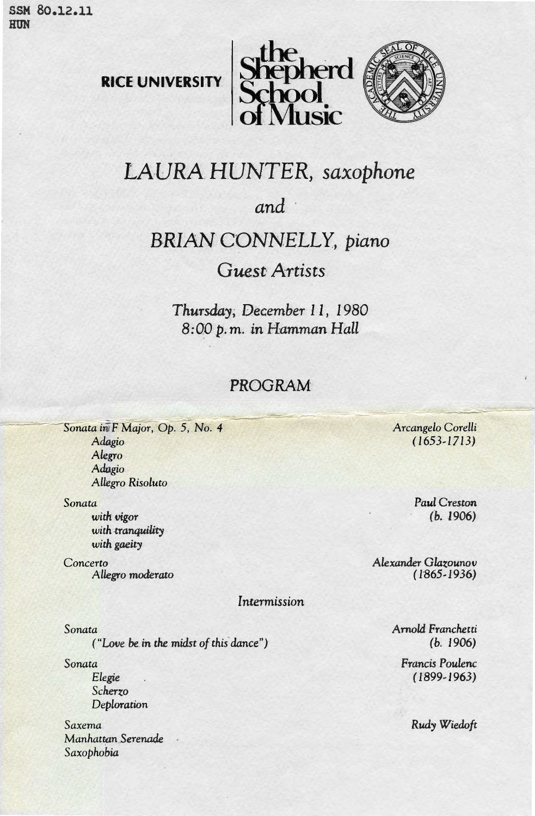SSM 80.12.11 HUN







## LAURA HUNTER, saxophone

*and ·* 

## **BRIAN CONNELLY**, piano

## *Guest- Artists*

*Thursday; December 11, 1980 8:00p.m. in Hamman Hall* 

## PROGRAM

Sonata in F Major, Op. 5, No. 4 *Adagio Alegro Adagio Allegro Risoluto* 

Sonata

*with vigor*  with tranquility with gaeity

Concerto *Allegro moderato* 

*Intermission* 

*Sonata* 

*("Love be.* in *the midst of this* dance")

*Sonata* 

*Elegie Scherzo Deploration* 

*Saxema*  Manhat~an *.Serenade Saxophobia* 

*Arcangelo* Coretli  $(1653 - 1713)$ 

> *Paul Creston*  (b. 1906)

*Alexander Glazounov*   $(1865 - 1936)$ 

> AmoL:i *Franchetti*  (b. 1906)

Francis *Poulenc*   $(1899-1963)$ 

*Rudy Wiedoft*